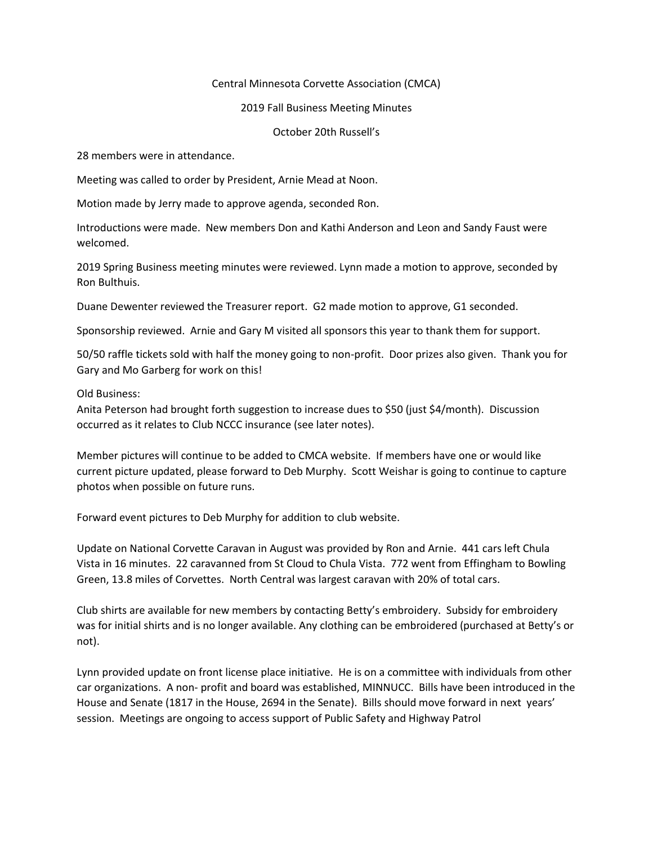## Central Minnesota Corvette Association (CMCA)

## 2019 Fall Business Meeting Minutes

October 20th Russell's

28 members were in attendance.

Meeting was called to order by President, Arnie Mead at Noon.

Motion made by Jerry made to approve agenda, seconded Ron.

Introductions were made. New members Don and Kathi Anderson and Leon and Sandy Faust were welcomed.

2019 Spring Business meeting minutes were reviewed. Lynn made a motion to approve, seconded by Ron Bulthuis.

Duane Dewenter reviewed the Treasurer report. G2 made motion to approve, G1 seconded.

Sponsorship reviewed. Arnie and Gary M visited all sponsors this year to thank them for support.

50/50 raffle tickets sold with half the money going to non-profit. Door prizes also given. Thank you for Gary and Mo Garberg for work on this!

Old Business:

Anita Peterson had brought forth suggestion to increase dues to \$50 (just \$4/month). Discussion occurred as it relates to Club NCCC insurance (see later notes).

Member pictures will continue to be added to CMCA website. If members have one or would like current picture updated, please forward to Deb Murphy. Scott Weishar is going to continue to capture photos when possible on future runs.

Forward event pictures to Deb Murphy for addition to club website.

Update on National Corvette Caravan in August was provided by Ron and Arnie. 441 cars left Chula Vista in 16 minutes. 22 caravanned from St Cloud to Chula Vista. 772 went from Effingham to Bowling Green, 13.8 miles of Corvettes. North Central was largest caravan with 20% of total cars.

Club shirts are available for new members by contacting Betty's embroidery. Subsidy for embroidery was for initial shirts and is no longer available. Any clothing can be embroidered (purchased at Betty's or not).

Lynn provided update on front license place initiative. He is on a committee with individuals from other car organizations. A non- profit and board was established, MINNUCC. Bills have been introduced in the House and Senate (1817 in the House, 2694 in the Senate). Bills should move forward in next years' session. Meetings are ongoing to access support of Public Safety and Highway Patrol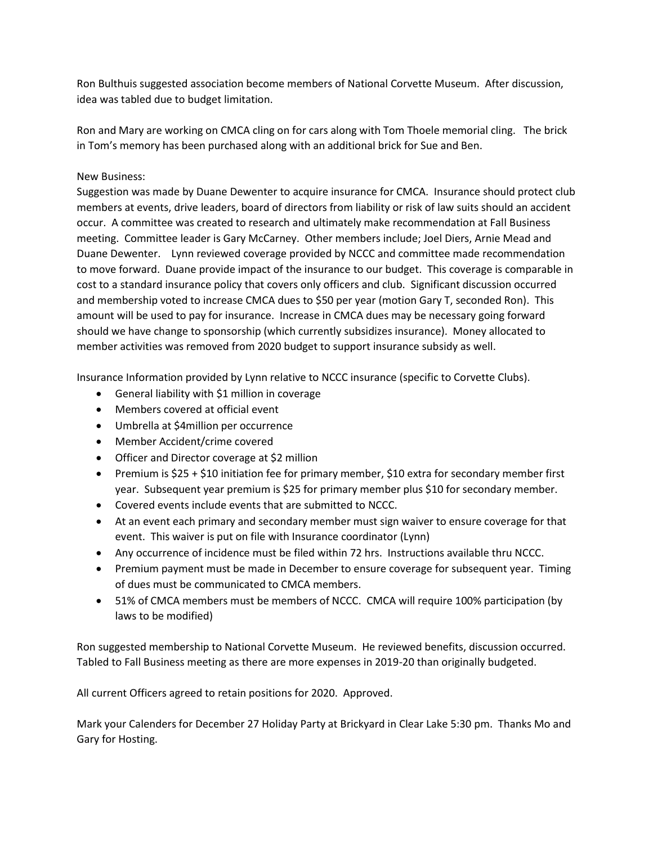Ron Bulthuis suggested association become members of National Corvette Museum. After discussion, idea was tabled due to budget limitation.

Ron and Mary are working on CMCA cling on for cars along with Tom Thoele memorial cling. The brick in Tom's memory has been purchased along with an additional brick for Sue and Ben.

## New Business:

Suggestion was made by Duane Dewenter to acquire insurance for CMCA. Insurance should protect club members at events, drive leaders, board of directors from liability or risk of law suits should an accident occur. A committee was created to research and ultimately make recommendation at Fall Business meeting. Committee leader is Gary McCarney. Other members include; Joel Diers, Arnie Mead and Duane Dewenter. Lynn reviewed coverage provided by NCCC and committee made recommendation to move forward. Duane provide impact of the insurance to our budget. This coverage is comparable in cost to a standard insurance policy that covers only officers and club. Significant discussion occurred and membership voted to increase CMCA dues to \$50 per year (motion Gary T, seconded Ron). This amount will be used to pay for insurance. Increase in CMCA dues may be necessary going forward should we have change to sponsorship (which currently subsidizes insurance). Money allocated to member activities was removed from 2020 budget to support insurance subsidy as well.

Insurance Information provided by Lynn relative to NCCC insurance (specific to Corvette Clubs).

- General liability with \$1 million in coverage
- Members covered at official event
- Umbrella at \$4million per occurrence
- Member Accident/crime covered
- Officer and Director coverage at \$2 million
- Premium is \$25 + \$10 initiation fee for primary member, \$10 extra for secondary member first year. Subsequent year premium is \$25 for primary member plus \$10 for secondary member.
- Covered events include events that are submitted to NCCC.
- At an event each primary and secondary member must sign waiver to ensure coverage for that event. This waiver is put on file with Insurance coordinator (Lynn)
- Any occurrence of incidence must be filed within 72 hrs. Instructions available thru NCCC.
- Premium payment must be made in December to ensure coverage for subsequent year. Timing of dues must be communicated to CMCA members.
- 51% of CMCA members must be members of NCCC. CMCA will require 100% participation (by laws to be modified)

Ron suggested membership to National Corvette Museum. He reviewed benefits, discussion occurred. Tabled to Fall Business meeting as there are more expenses in 2019-20 than originally budgeted.

All current Officers agreed to retain positions for 2020. Approved.

Mark your Calenders for December 27 Holiday Party at Brickyard in Clear Lake 5:30 pm. Thanks Mo and Gary for Hosting.